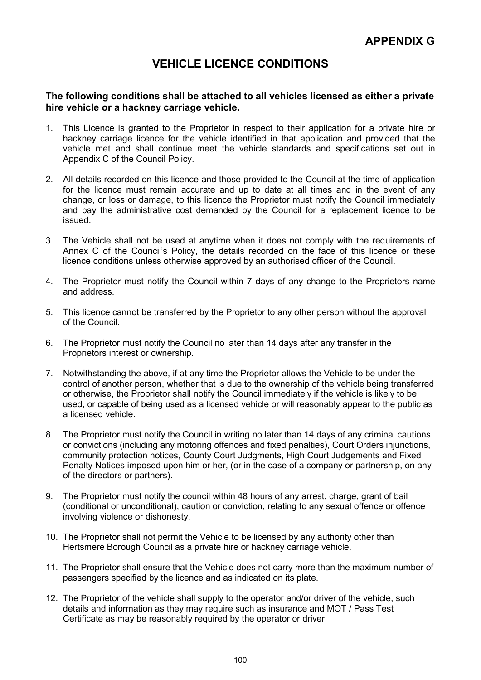# VEHICLE LICENCE CONDITIONS

# The following conditions shall be attached to all vehicles licensed as either a private hire vehicle or a hackney carriage vehicle.

- 1. This Licence is granted to the Proprietor in respect to their application for a private hire or hackney carriage licence for the vehicle identified in that application and provided that the vehicle met and shall continue meet the vehicle standards and specifications set out in Appendix C of the Council Policy.
- 2. All details recorded on this licence and those provided to the Council at the time of application for the licence must remain accurate and up to date at all times and in the event of any change, or loss or damage, to this licence the Proprietor must notify the Council immediately and pay the administrative cost demanded by the Council for a replacement licence to be issued.
- 3. The Vehicle shall not be used at anytime when it does not comply with the requirements of Annex C of the Council's Policy, the details recorded on the face of this licence or these licence conditions unless otherwise approved by an authorised officer of the Council.
- 4. The Proprietor must notify the Council within 7 days of any change to the Proprietors name and address.
- 5. This licence cannot be transferred by the Proprietor to any other person without the approval of the Council.
- 6. The Proprietor must notify the Council no later than 14 days after any transfer in the Proprietors interest or ownership.
- 7. Notwithstanding the above, if at any time the Proprietor allows the Vehicle to be under the control of another person, whether that is due to the ownership of the vehicle being transferred or otherwise, the Proprietor shall notify the Council immediately if the vehicle is likely to be used, or capable of being used as a licensed vehicle or will reasonably appear to the public as a licensed vehicle.
- 8. The Proprietor must notify the Council in writing no later than 14 days of any criminal cautions or convictions (including any motoring offences and fixed penalties), Court Orders injunctions, community protection notices, County Court Judgments, High Court Judgements and Fixed Penalty Notices imposed upon him or her, (or in the case of a company or partnership, on any of the directors or partners).
- 9. The Proprietor must notify the council within 48 hours of any arrest, charge, grant of bail (conditional or unconditional), caution or conviction, relating to any sexual offence or offence involving violence or dishonesty.
- 10. The Proprietor shall not permit the Vehicle to be licensed by any authority other than Hertsmere Borough Council as a private hire or hackney carriage vehicle.
- 11. The Proprietor shall ensure that the Vehicle does not carry more than the maximum number of passengers specified by the licence and as indicated on its plate.
- 12. The Proprietor of the vehicle shall supply to the operator and/or driver of the vehicle, such details and information as they may require such as insurance and MOT / Pass Test Certificate as may be reasonably required by the operator or driver.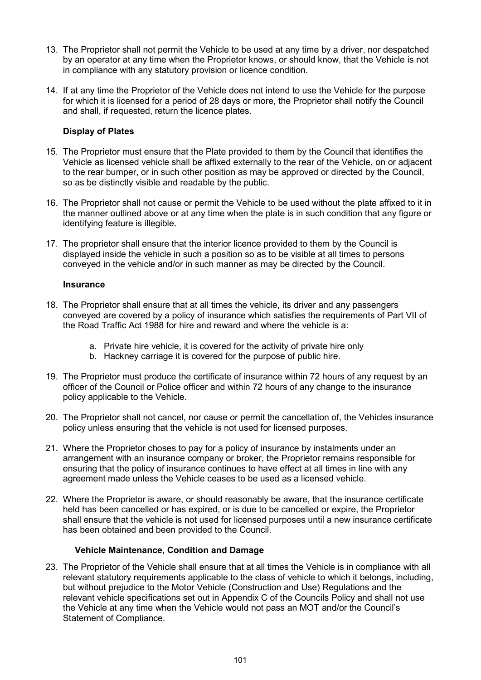- 13. The Proprietor shall not permit the Vehicle to be used at any time by a driver, nor despatched by an operator at any time when the Proprietor knows, or should know, that the Vehicle is not in compliance with any statutory provision or licence condition.
- 14. If at any time the Proprietor of the Vehicle does not intend to use the Vehicle for the purpose for which it is licensed for a period of 28 days or more, the Proprietor shall notify the Council and shall, if requested, return the licence plates.

# Display of Plates

- 15. The Proprietor must ensure that the Plate provided to them by the Council that identifies the Vehicle as licensed vehicle shall be affixed externally to the rear of the Vehicle, on or adjacent to the rear bumper, or in such other position as may be approved or directed by the Council, so as be distinctly visible and readable by the public.
- 16. The Proprietor shall not cause or permit the Vehicle to be used without the plate affixed to it in the manner outlined above or at any time when the plate is in such condition that any figure or identifying feature is illegible.
- 17. The proprietor shall ensure that the interior licence provided to them by the Council is displayed inside the vehicle in such a position so as to be visible at all times to persons conveyed in the vehicle and/or in such manner as may be directed by the Council.

## **Insurance**

- 18. The Proprietor shall ensure that at all times the vehicle, its driver and any passengers conveyed are covered by a policy of insurance which satisfies the requirements of Part VII of the Road Traffic Act 1988 for hire and reward and where the vehicle is a:
	- a. Private hire vehicle, it is covered for the activity of private hire only
	- b. Hackney carriage it is covered for the purpose of public hire.
- 19. The Proprietor must produce the certificate of insurance within 72 hours of any request by an officer of the Council or Police officer and within 72 hours of any change to the insurance policy applicable to the Vehicle.
- 20. The Proprietor shall not cancel, nor cause or permit the cancellation of, the Vehicles insurance policy unless ensuring that the vehicle is not used for licensed purposes.
- 21. Where the Proprietor choses to pay for a policy of insurance by instalments under an arrangement with an insurance company or broker, the Proprietor remains responsible for ensuring that the policy of insurance continues to have effect at all times in line with any agreement made unless the Vehicle ceases to be used as a licensed vehicle.
- 22. Where the Proprietor is aware, or should reasonably be aware, that the insurance certificate held has been cancelled or has expired, or is due to be cancelled or expire, the Proprietor shall ensure that the vehicle is not used for licensed purposes until a new insurance certificate has been obtained and been provided to the Council.

## Vehicle Maintenance, Condition and Damage

23. The Proprietor of the Vehicle shall ensure that at all times the Vehicle is in compliance with all relevant statutory requirements applicable to the class of vehicle to which it belongs, including, but without prejudice to the Motor Vehicle (Construction and Use) Regulations and the relevant vehicle specifications set out in Appendix C of the Councils Policy and shall not use the Vehicle at any time when the Vehicle would not pass an MOT and/or the Council's Statement of Compliance.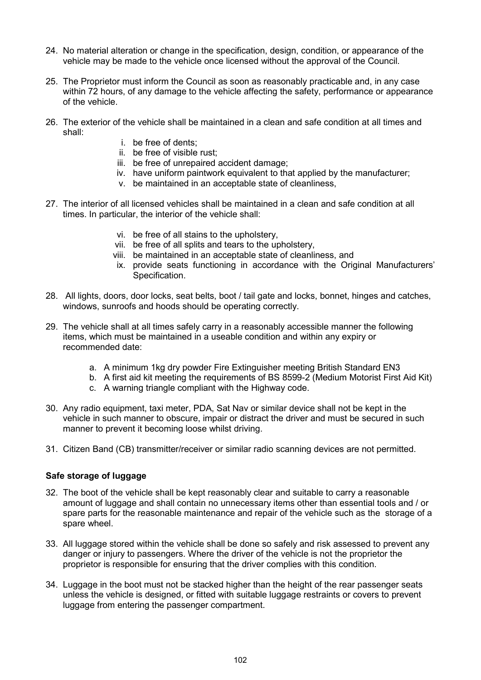- 24. No material alteration or change in the specification, design, condition, or appearance of the vehicle may be made to the vehicle once licensed without the approval of the Council.
- 25. The Proprietor must inform the Council as soon as reasonably practicable and, in any case within 72 hours, of any damage to the vehicle affecting the safety, performance or appearance of the vehicle.
- 26. The exterior of the vehicle shall be maintained in a clean and safe condition at all times and shall:
	- i. be free of dents;
	- ii. be free of visible rust;
	- iii. be free of unrepaired accident damage;
	- iv. have uniform paintwork equivalent to that applied by the manufacturer;
	- v. be maintained in an acceptable state of cleanliness,
- 27. The interior of all licensed vehicles shall be maintained in a clean and safe condition at all times. In particular, the interior of the vehicle shall:
	- vi. be free of all stains to the upholstery,
	- vii. be free of all splits and tears to the upholstery,
	- viii. be maintained in an acceptable state of cleanliness, and
	- ix. provide seats functioning in accordance with the Original Manufacturers' Specification.
- 28. All lights, doors, door locks, seat belts, boot / tail gate and locks, bonnet, hinges and catches, windows, sunroofs and hoods should be operating correctly.
- 29. The vehicle shall at all times safely carry in a reasonably accessible manner the following items, which must be maintained in a useable condition and within any expiry or recommended date:
	- a. A minimum 1kg dry powder Fire Extinguisher meeting British Standard EN3
	- b. A first aid kit meeting the requirements of BS 8599-2 (Medium Motorist First Aid Kit)
	- c. A warning triangle compliant with the Highway code.
- 30. Any radio equipment, taxi meter, PDA, Sat Nav or similar device shall not be kept in the vehicle in such manner to obscure, impair or distract the driver and must be secured in such manner to prevent it becoming loose whilst driving.
- 31. Citizen Band (CB) transmitter/receiver or similar radio scanning devices are not permitted.

## Safe storage of luggage

- 32. The boot of the vehicle shall be kept reasonably clear and suitable to carry a reasonable amount of luggage and shall contain no unnecessary items other than essential tools and / or spare parts for the reasonable maintenance and repair of the vehicle such as the storage of a spare wheel.
- 33. All luggage stored within the vehicle shall be done so safely and risk assessed to prevent any danger or injury to passengers. Where the driver of the vehicle is not the proprietor the proprietor is responsible for ensuring that the driver complies with this condition.
- 34. Luggage in the boot must not be stacked higher than the height of the rear passenger seats unless the vehicle is designed, or fitted with suitable luggage restraints or covers to prevent luggage from entering the passenger compartment.